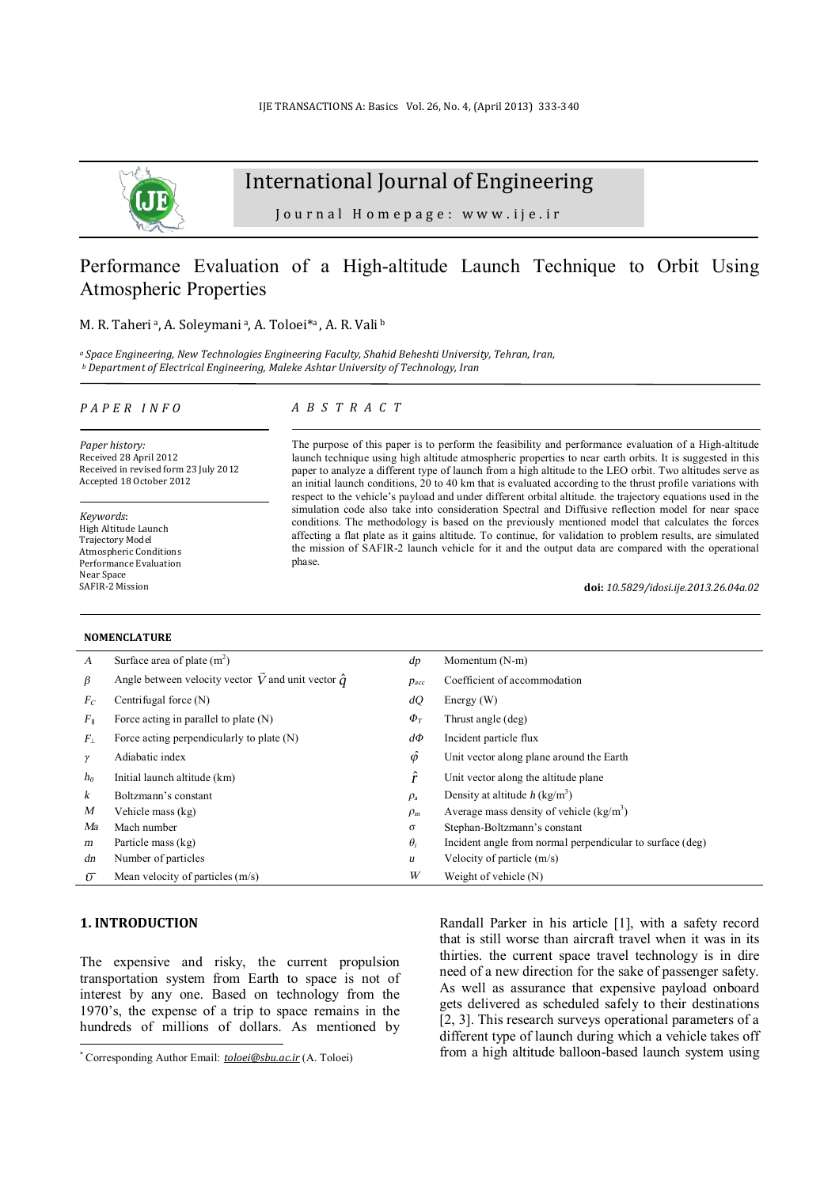

# International Journal of Engineering

Journal Homepage: www.ije.ir

## Performance Evaluation of a High-altitude Launch Technique to Orbit Using Atmospheric Properties

### M. R. Taheria, A. Soleymania, A. Toloei\*a, A. R. Valib

*<sup>a</sup> Space Engineering, New Technologies Engineering Faculty, Shahid Beheshti University, Tehran, Iran, <sup>b</sup> Department of Electrical Engineering, Maleke Ashtar University of Technology, Iran* 

#### *P A P E R I N F O*

*Paper history:*  Received 28 April 2012 Received in revised form 23 July 2012 Accepted 18 October 2012

*Keywords*: High Altitude Launch Trajectory Model Atmospheric Conditions Performance Evaluation Near Space SAFIR-2 Mission

#### **NOMENCLATURE**

## *A B S T R A C T*

The purpose of this paper is to perform the feasibility and performance evaluation of a High-altitude launch technique using high altitude atmospheric properties to near earth orbits. It is suggested in this paper to analyze a different type of launch from a high altitude to the LEO orbit. Two altitudes serve as an initial launch conditions, 20 to 40 km that is evaluated according to the thrust profile variations with respect to the vehicle's payload and under different orbital altitude. the trajectory equations used in the simulation code also take into consideration Spectral and Diffusive reflection model for near space conditions. The methodology is based on the previously mentioned model that calculates the forces affecting a flat plate as it gains altitude. To continue, for validation to problem results, are simulated the mission of SAFIR-2 launch vehicle for it and the output data are compared with the operational phase.

**doi:** *10.5829/idosi.ije.2013.26.04a.02*

| NUMENCLA I UNE   |                                                           |                 |                                                           |  |
|------------------|-----------------------------------------------------------|-----------------|-----------------------------------------------------------|--|
| $\boldsymbol{A}$ | Surface area of plate $(m2)$                              | dp              | Momentum (N-m)                                            |  |
| β                | Angle between velocity vector V and unit vector $\hat{q}$ | $p_{acc}$       | Coefficient of accommodation                              |  |
| $F_C$            | Centrifugal force $(N)$                                   | dQ              | Energy $(W)$                                              |  |
| $F_{\parallel}$  | Force acting in parallel to plate $(N)$                   | $\Phi_T$        | Thrust angle (deg)                                        |  |
| $F_{\perp}$      | Force acting perpendicularly to plate (N)                 | $d\Phi$         | Incident particle flux                                    |  |
| γ                | Adiabatic index                                           | $\hat{\varphi}$ | Unit vector along plane around the Earth                  |  |
| $h_0$            | Initial launch altitude (km)                              | î               | Unit vector along the altitude plane.                     |  |
| k                | Boltzmann's constant                                      | $\rho_a$        | Density at altitude $h$ (kg/m <sup>3</sup> )              |  |
| M                | Vehicle mass (kg)                                         | $\rho_m$        | Average mass density of vehicle $(kg/m3)$                 |  |
| Ma               | Mach number                                               | σ               | Stephan-Boltzmann's constant                              |  |
| m                | Particle mass (kg)                                        | $\theta_i$      | Incident angle from normal perpendicular to surface (deg) |  |
| dn               | Number of particles                                       | u               | Velocity of particle $(m/s)$                              |  |
| $\overline{v}$   | Mean velocity of particles $(m/s)$                        | W               | Weight of vehicle (N)                                     |  |

## **1. INTRODUCTION<sup>1</sup>**

l

The expensive and risky, the current propulsion transportation system from Earth to space is not of interest by any one. Based on technology from the 1970's, the expense of a trip to space remains in the hundreds of millions of dollars. As mentioned by

Randall Parker in his article [1], with a safety record that is still worse than aircraft travel when it was in its thirties. the current space travel technology is in dire need of a new direction for the sake of passenger safety. As well as assurance that expensive payload onboard gets delivered as scheduled safely to their destinations [2, 3]. This research surveys operational parameters of a different type of launch during which a vehicle takes off from a high altitude balloon-based launch system using

<sup>\*</sup> Corresponding Author Email: *[toloei@sbu.ac.ir](mailto:toloei@sbu.ac.ir)* (A. Toloei)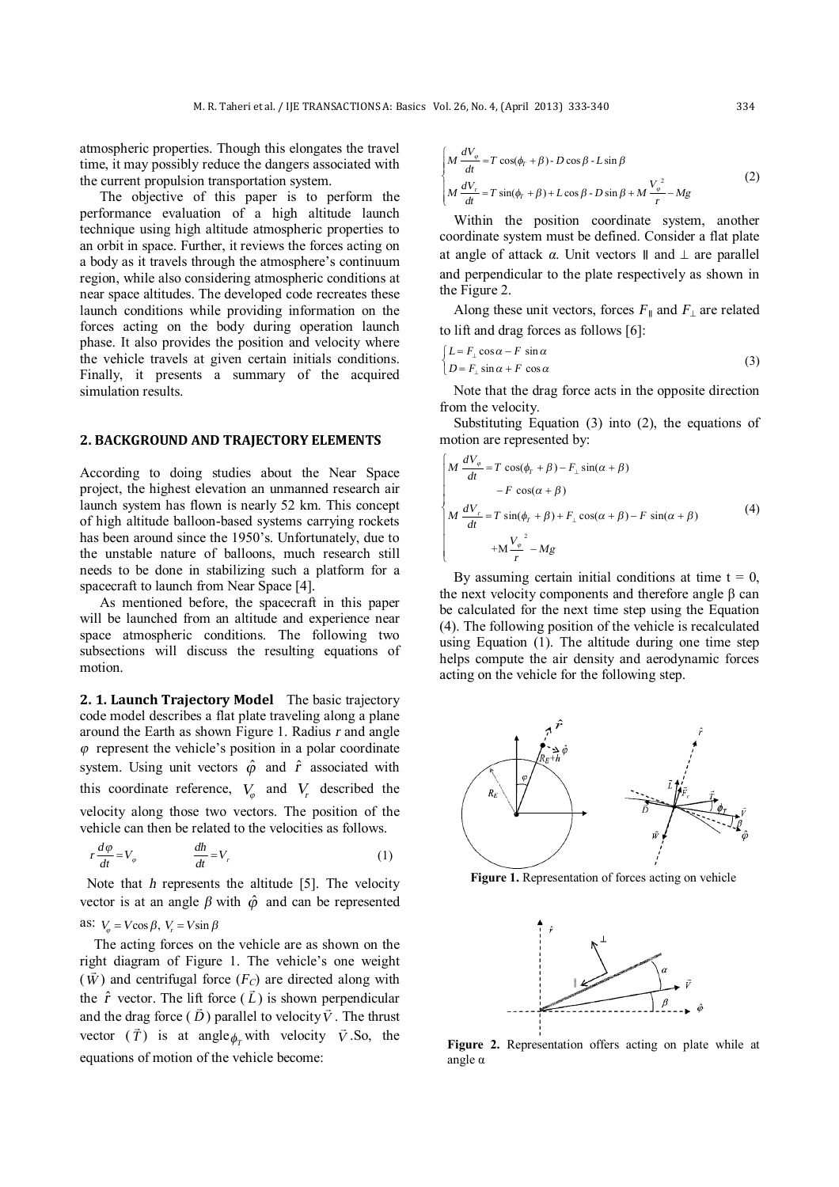atmospheric properties. Though this elongates the travel time, it may possibly reduce the dangers associated with the current propulsion transportation system.

The objective of this paper is to perform the performance evaluation of a high altitude launch technique using high altitude atmospheric properties to an orbit in space. Further, it reviews the forces acting on a body as it travels through the atmosphere's continuum region, while also considering atmospheric conditions at near space altitudes. The developed code recreates these launch conditions while providing information on the forces acting on the body during operation launch phase. It also provides the position and velocity where the vehicle travels at given certain initials conditions. Finally, it presents a summary of the acquired simulation results.

## **2. BACKGROUND AND TRAJECTORY ELEMENTS**

According to doing studies about the Near Space project, the highest elevation an unmanned research air launch system has flown is nearly 52 km. This concept of high altitude balloon-based systems carrying rockets has been around since the 1950's. Unfortunately, due to the unstable nature of balloons, much research still needs to be done in stabilizing such a platform for a spacecraft to launch from Near Space [4].

As mentioned before, the spacecraft in this paper will be launched from an altitude and experience near space atmospheric conditions. The following two subsections will discuss the resulting equations of motion.

**2. 1. Launch Trajectory Model** The basic trajectory code model describes a flat plate traveling along a plane around the Earth as shown Figure 1. Radius *<sup>r</sup>* and angle *<sup>φ</sup>* represent the vehicle's position in a polar coordinate system. Using unit vectors  $\hat{\varphi}$  and  $\hat{r}$  associated with this coordinate reference,  $V_\varphi$  and  $V_r$  described the velocity along those two vectors. The position of the vehicle can then be related to the velocities as follows.

$$
r\frac{d\varphi}{dt} = V_{\varphi} \qquad \qquad \frac{dh}{dt} = V_{r} \tag{1}
$$

Note that *h* represents the altitude [5]. The velocity vector is at an angle  $\beta$  with  $\hat{\varphi}$  and can be represented as:  $V_a = V \cos \beta$ ,  $V_c = V \sin \beta$ 

The acting forces on the vehicle are as shown on the right diagram of Figure 1. The vehicle's one weight  $(\vec{W})$  and centrifugal force  $(F_C)$  are directed along with the  $\hat{r}$  vector. The lift force  $(\vec{L})$  is shown perpendicular and the drag force  $(\vec{D})$  parallel to velocity  $\vec{V}$ . The thrust vector  $(\vec{T})$  is at angle  $\phi_T$  with velocity  $\vec{V}$ . So, the equations of motion of the vehicle become:

$$
\begin{cases}\nM \frac{dV_{\varphi}}{dt} = T \cos(\phi_r + \beta) - D \cos \beta - L \sin \beta \\
M \frac{dV_r}{dt} = T \sin(\phi_r + \beta) + L \cos \beta - D \sin \beta + M \frac{V_{\varphi}^2}{r} - Mg\n\end{cases}
$$
\n(2)

Within the position coordinate system, another coordinate system must be defined. Consider a flat plate at angle of attack  $\alpha$ . Unit vectors  $\parallel$  and  $\perp$  are parallel and perpendicular to the plate respectively as shown in the Figure 2.

Along these unit vectors, forces  $F_{\parallel}$  and  $F_{\perp}$  are related to lift and drag forces as follows [6]:

$$
\begin{cases}\nL = F_{\perp} \cos \alpha - F \sin \alpha \\
D = F_{\perp} \sin \alpha + F \cos \alpha\n\end{cases}
$$
\n(3)

Note that the drag force acts in the opposite direction from the velocity.

Substituting Equation (3) into (2), the equations of motion are represented by:

$$
\begin{cases}\nM \frac{dV_{\varphi}}{dt} = T \cos(\phi_r + \beta) - F_{\perp} \sin(\alpha + \beta) \\
- F \cos(\alpha + \beta) \\
M \frac{dV_r}{dt} = T \sin(\phi_r + \beta) + F_{\perp} \cos(\alpha + \beta) - F \sin(\alpha + \beta) \\
+ M \frac{V_{\varphi}}{r}^2 - Mg\n\end{cases} (4)
$$

By assuming certain initial conditions at time  $t = 0$ , the next velocity components and therefore angle β can be calculated for the next time step using the Equation (4). The following position of the vehicle is recalculated using Equation (1). The altitude during one time step helps compute the air density and aerodynamic forces acting on the vehicle for the following step.



**Figure 1.** Representation of forces acting on vehicle



**Figure 2.** Representation offers acting on plate while at angle α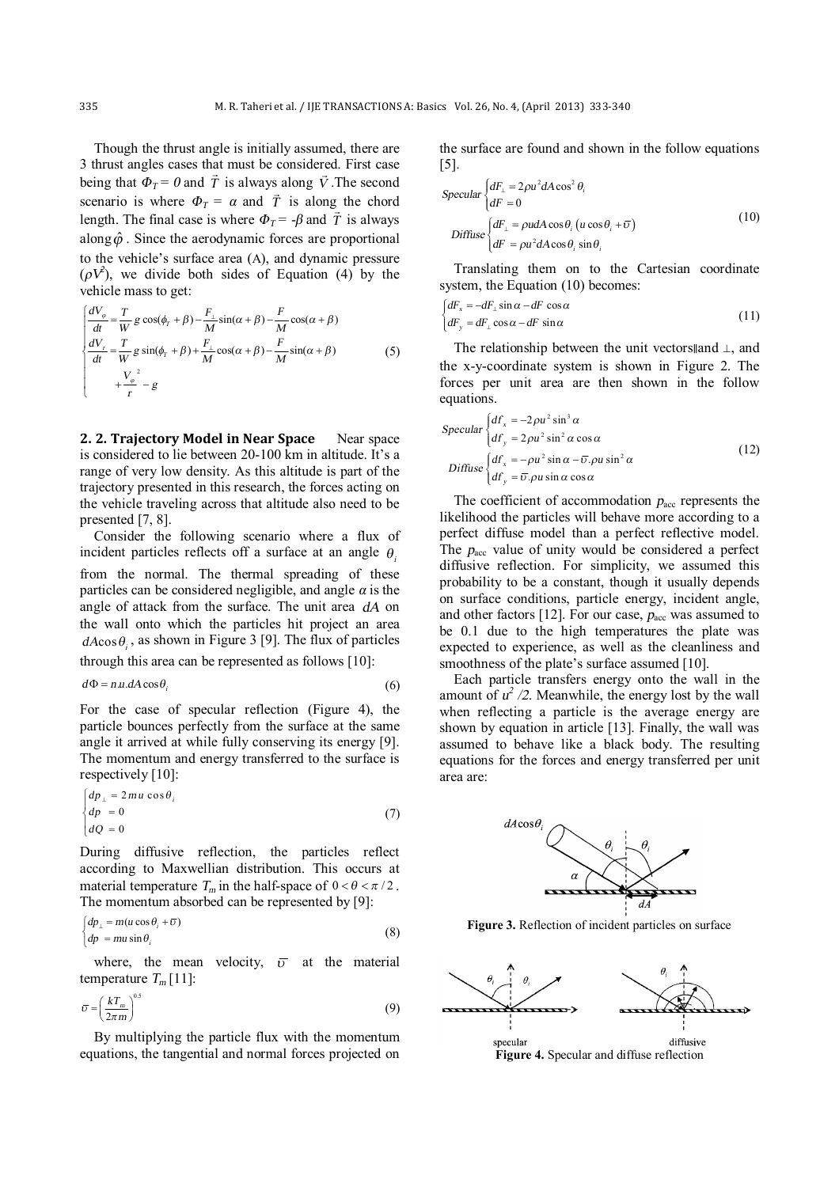Though the thrust angle is initially assumed, there are 3 thrust angles cases that must be considered. First case being that  $\Phi_T = 0$  and  $\vec{T}$  is always along  $\vec{V}$ . The second scenario is where  $\Phi_T = \alpha$  and  $\vec{T}$  is along the chord length. The final case is where  $\Phi_T = -\beta$  and  $\bar{T}$  is always along  $\hat{\varphi}$ . Since the aerodynamic forces are proportional to the vehicle's surface area (A), and dynamic pressure  $(\rho V^2)$ , we divide both sides of Equation (4) by the vehicle mass to get:

$$
\begin{cases}\n\frac{dV_{\varphi}}{dt} = \frac{T}{W} g \cos(\phi_r + \beta) - \frac{F_{\perp}}{M} \sin(\alpha + \beta) - \frac{F}{M} \cos(\alpha + \beta) \\
\frac{dV_r}{dt} = \frac{T}{W} g \sin(\phi_r + \beta) + \frac{F_{\perp}}{M} \cos(\alpha + \beta) - \frac{F}{M} \sin(\alpha + \beta) \\
+ \frac{V_{\varphi}}{r}^2 - g\n\end{cases} \tag{5}
$$

**2. 2. Trajectory Model in Near Space** Near space is considered to lie between 20-100 km in altitude. It's a range of very low density. As this altitude is part of the trajectory presented in this research, the forces acting on the vehicle traveling across that altitude also need to be presented [7, 8].

Consider the following scenario where a flux of incident particles reflects off a surface at an angle  $\theta$ from the normal. The thermal spreading of these particles can be considered negligible, and angle *<sup>α</sup>* is the angle of attack from the surface. The unit area *dA* on the wall onto which the particles hit project an area  $dA\cos\theta_i$ , as shown in Figure 3 [9]. The flux of particles through this area can be represented as follows [10]:

$$
or  $x$  is a set of  $x$  is a set of  $x$  to  $x$  to  $x$  to  $x$ .
$$

$$
d\Phi = n.u.dA\cos\theta_i\tag{6}
$$

For the case of specular reflection (Figure 4), the particle bounces perfectly from the surface at the same angle it arrived at while fully conserving its energy [9]. The momentum and energy transferred to the surface is respectively [10]:

$$
\begin{cases}\ndp_{\perp} = 2mu \cos \theta_i \\
dp = 0 \\
dQ = 0\n\end{cases}
$$
\n(7)

During diffusive reflection, the particles reflect according to Maxwellian distribution. This occurs at material temperature  $T_m$  in the half-space of  $0 < \theta < \pi/2$ . The momentum absorbed can be represented by [9]:

$$
\begin{cases}\ndp_{\perp} = m(u \cos \theta_i + \overline{v}) \\
dp = m u \sin \theta_i\n\end{cases}
$$
\n(8)

where, the mean velocity,  $\overline{v}$  at the material temperature  $T_m$  [11]:

$$
\bar{v} = \left(\frac{kT_m}{2\pi m}\right)^{0.5} \tag{9}
$$

By multiplying the particle flux with the momentum equations, the tangential and normal forces projected on the surface are found and shown in the follow equations [5].

$$
Specular \begin{cases} dF_{\perp} = 2\rho u^2 dA \cos^2 \theta_i \\ dF = 0 \end{cases}
$$
  
Diffuse 
$$
\begin{cases} dF_{\perp} = \rho u dA \cos \theta_i (u \cos \theta_i + \bar{v}) \\ dF = \rho u^2 dA \cos \theta_i \sin \theta_i \end{cases}
$$
 (10)

Translating them on to the Cartesian coordinate system, the Equation (10) becomes:

$$
\begin{cases} dF_x = -dF_{\perp} \sin \alpha - dF \cos \alpha \\ dF_y = dF_{\perp} \cos \alpha - dF \sin \alpha \end{cases} \tag{11}
$$

The relationship between the unit vectors and  $\perp$ , and the x-y-coordinate system is shown in Figure 2. The forces per unit area are then shown in the follow equations.

$$
Specular \begin{cases} df_x = -2\rho u^2 \sin^3 \alpha \\ df_y = 2\rho u^2 \sin^2 \alpha \cos \alpha \end{cases}
$$
  
Diffuse 
$$
\begin{cases} df_x = -\rho u^2 \sin \alpha - \overline{\upsilon}.\rho u \sin^2 \alpha \\ df_y = \overline{\upsilon}.\rho u \sin \alpha \cos \alpha \end{cases}
$$
 (12)

The coefficient of accommodation  $p_{\text{acc}}$  represents the likelihood the particles will behave more according to a perfect diffuse model than a perfect reflective model. The  $p_{\text{acc}}$  value of unity would be considered a perfect diffusive reflection. For simplicity, we assumed this probability to be a constant, though it usually depends on surface conditions, particle energy, incident angle, and other factors [12]. For our case,  $p_{\text{acc}}$  was assumed to be 0.1 due to the high temperatures the plate was expected to experience, as well as the cleanliness and smoothness of the plate's surface assumed [10].

Each particle transfers energy onto the wall in the amount of  $u^2/2$ . Meanwhile, the energy lost by the wall when reflecting a particle is the average energy are shown by equation in article [13]. Finally, the wall was assumed to behave like a black body. The resulting equations for the forces and energy transferred per unit area are:



**Figure 3.** Reflection of incident particles on surface

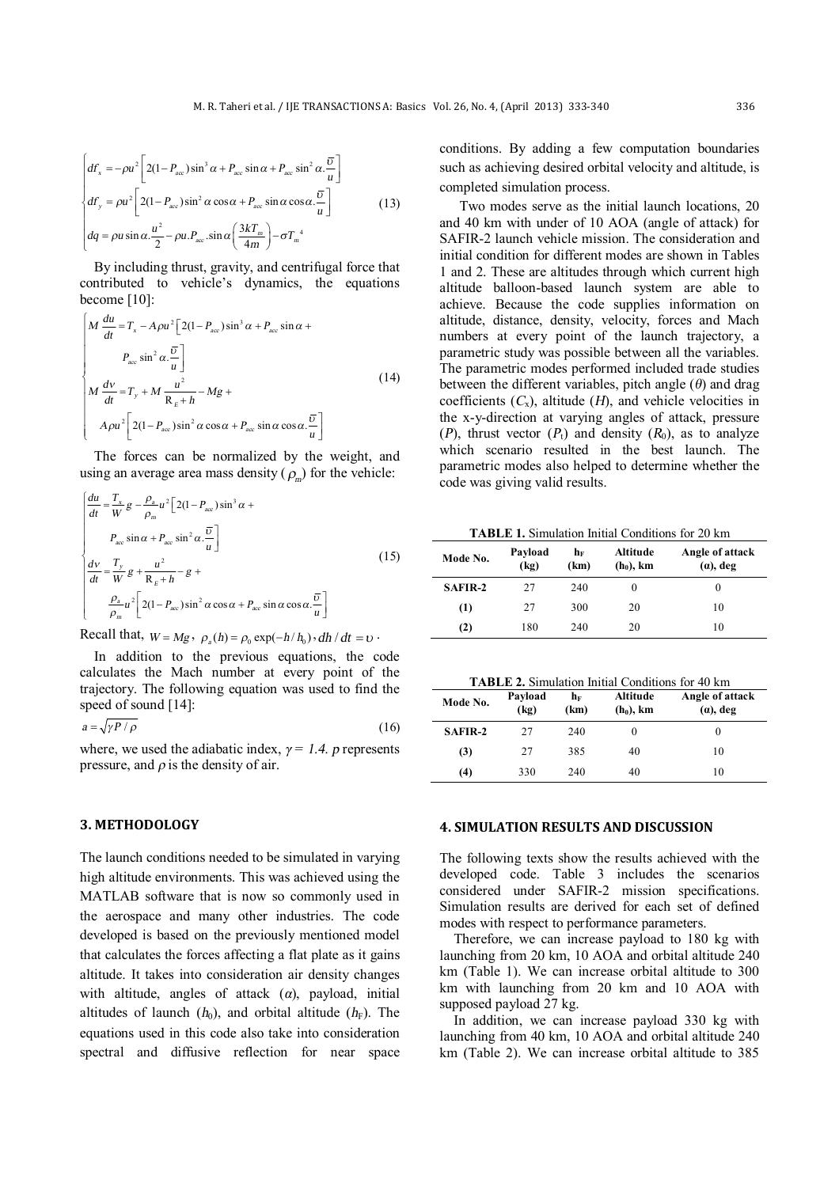$$
\begin{cases}\ndF_x = -\rho u^2 \left[ 2(1 - P_{acc}) \sin^3 \alpha + P_{acc} \sin \alpha + P_{acc} \sin^2 \alpha \cdot \frac{\overline{v}}{u} \right] \\
df_y = \rho u^2 \left[ 2(1 - P_{acc}) \sin^2 \alpha \cos \alpha + P_{acc} \sin \alpha \cos \alpha \cdot \frac{\overline{v}}{u} \right] \\
dq = \rho u \sin \alpha \cdot \frac{u^2}{2} - \rho u P_{acc} \sin \alpha \left( \frac{3kT_m}{4m} \right) - \sigma T_m^4\n\end{cases}
$$
\n(13)

By including thrust, gravity, and centrifugal force that contributed to vehicle's dynamics, the equations become [10]:

$$
\begin{bmatrix}\nM \frac{du}{dt} = T_x - A\rho u^2 \left[ 2(1 - P_{acc})\sin^3 \alpha + P_{acc}\sin \alpha + \\
P_{acc}\sin^2 \alpha \cdot \frac{\overline{v}}{u} \right] \\
M \frac{dv}{dt} = T_y + M \frac{u^2}{R_E + h} - Mg + \\
A\rho u^2 \left[ 2(1 - P_{acc})\sin^2 \alpha \cos \alpha + P_{acc}\sin \alpha \cos \alpha \cdot \frac{\overline{v}}{u} \right]\n\end{bmatrix}
$$
\n(14)

The forces can be normalized by the weight, and using an average area mass density  $(\rho_m)$  for the vehicle:

$$
\begin{cases}\n\frac{du}{dt} = \frac{T_x}{W} g - \frac{\rho_a}{\rho_m} u^2 \left[ 2(1 - P_{acc}) \sin^3 \alpha + \frac{P_{acc} \sin \alpha + P_{acc} \sin^2 \alpha \cdot \frac{\overline{U}}{u} \right] \\
P_{acc} \sin \alpha + P_{acc} \sin^2 \alpha \cdot \frac{\overline{U}}{u} \right] \\
\frac{dv}{dt} = \frac{T_y}{W} g + \frac{u^2}{R_E + h} - g + \frac{\rho_a}{\rho_m} u^2 \left[ 2(1 - P_{acc}) \sin^2 \alpha \cos \alpha + P_{acc} \sin \alpha \cos \alpha \cdot \frac{\overline{U}}{u} \right]\n\end{cases}
$$
\n(15)

Recall that,  $W = Mg$ ,  $\rho_a(h) = \rho_0 \exp(-h/h_0)$ ,  $dh/dt = v$ .

In addition to the previous equations, the code calculates the Mach number at every point of the trajectory. The following equation was used to find the speed of sound [14]:

 $a = \sqrt{\gamma P / \rho}$  (16)

where, we used the adiabatic index,  $\gamma = 1.4$ . *p* represents pressure, and *<sup>ρ</sup>* is the density of air.

## **3. METHODOLOGY**

The launch conditions needed to be simulated in varying high altitude environments. This was achieved using the MATLAB software that is now so commonly used in the aerospace and many other industries. The code developed is based on the previously mentioned model that calculates the forces affecting a flat plate as it gains altitude. It takes into consideration air density changes with altitude, angles of attack (*α*), payload, initial altitudes of launch  $(h_0)$ , and orbital altitude  $(h_F)$ . The equations used in this code also take into consideration spectral and diffusive reflection for near space

conditions. By adding a few computation boundaries such as achieving desired orbital velocity and altitude, is completed simulation process.

Two modes serve as the initial launch locations, 20 and 40 km with under of 10 AOA (angle of attack) for SAFIR-2 launch vehicle mission. The consideration and initial condition for different modes are shown in Tables 1 and 2. These are altitudes through which current high altitude balloon-based launch system are able to achieve. Because the code supplies information on altitude, distance, density, velocity, forces and Mach numbers at every point of the launch trajectory, a parametric study was possible between all the variables. The parametric modes performed included trade studies between the different variables, pitch angle (*θ*) and drag coefficients  $(C_x)$ , altitude  $(H)$ , and vehicle velocities in the x-y-direction at varying angles of attack, pressure (*P*), thrust vector ( $P_t$ ) and density ( $R_0$ ), as to analyze which scenario resulted in the best launch. The parametric modes also helped to determine whether the code was giving valid results.

**TABLE 1.** Simulation Initial Conditions for 20 km

| Mode No. | Payload<br>(kq) | $\mathbf{h}_\mathrm{F}$<br>(km) | Altitude<br>$(h_0)$ , km | Angle of attack<br>$(a)$ , deg |
|----------|-----------------|---------------------------------|--------------------------|--------------------------------|
| SAFIR-2  | 27              | 240                             |                          | $_{0}$                         |
| (1)      | 27              | 300                             | 20                       | 10                             |
| (2)      | 180             | 240                             | 20                       | 10                             |

**TABLE 2.** Simulation Initial Conditions for 40 km

| Mode No. | Payload<br>(kq) | $\mathbf{h}_\mathrm{F}$<br>(km) | Altitude<br>$(h_0)$ , km | Angle of attack<br>$(a)$ , deg |
|----------|-----------------|---------------------------------|--------------------------|--------------------------------|
| SAFIR-2  | 27              | 240                             |                          | 0                              |
| (3)      | 27              | 385                             | 40                       | 10                             |
| (4)      | 330             | 240                             | 40                       | 10                             |

### **4. SIMULATION RESULTS AND DISCUSSION**

The following texts show the results achieved with the developed code. Table 3 includes the scenarios considered under SAFIR-2 mission specifications. Simulation results are derived for each set of defined modes with respect to performance parameters.

Therefore, we can increase payload to 180 kg with launching from 20 km, 10 AOA and orbital altitude 240 km (Table 1). We can increase orbital altitude to 300 km with launching from 20 km and 10 AOA with supposed payload 27 kg.

In addition, we can increase payload 330 kg with launching from 40 km, 10 AOA and orbital altitude 240 km (Table 2). We can increase orbital altitude to 385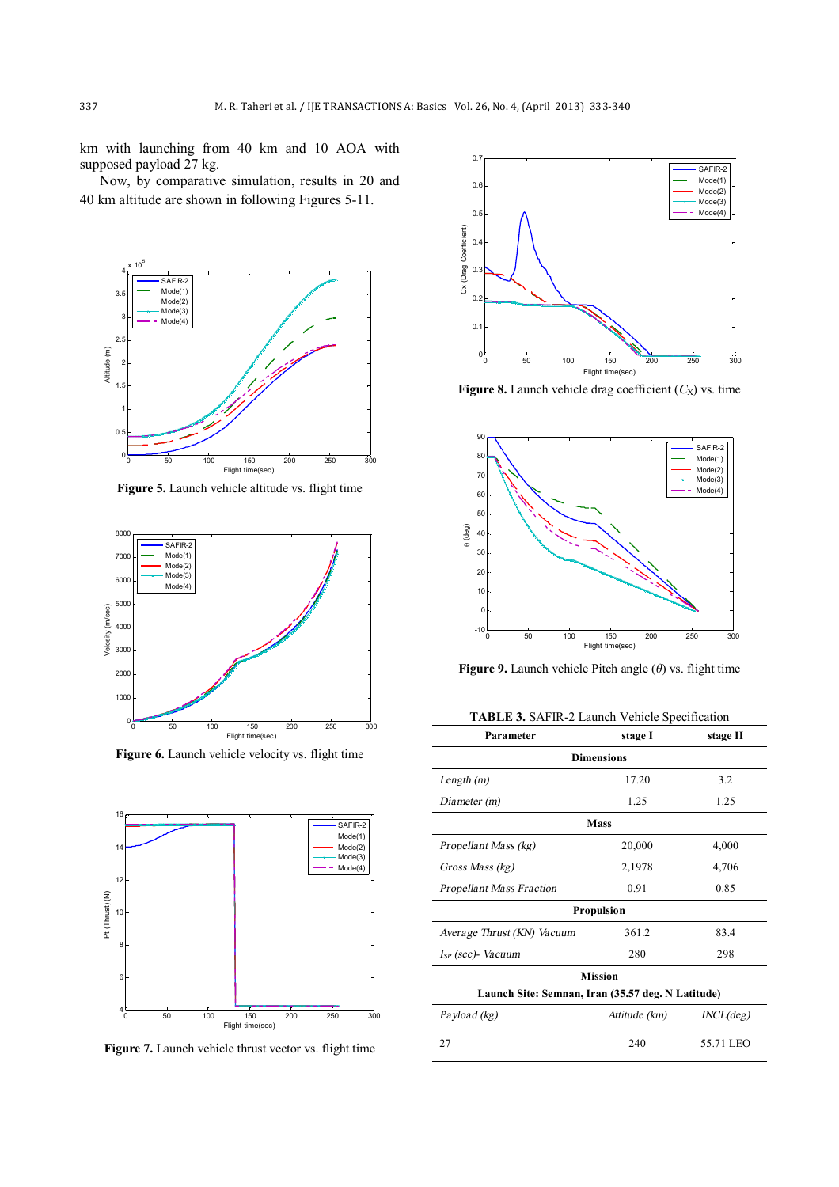km with launching from 40 km and 10 AOA with supposed payload 27 kg.

Now, by comparative simulation, results in 20 and 40 km altitude are shown in following Figures 5-11.



**Figure 5.** Launch vehicle altitude vs. flight time



**Figure 6.** Launch vehicle velocity vs. flight time



**Figure 7.** Launch vehicle thrust vector vs. flight time



**Figure 8.** Launch vehicle drag coefficient  $(C_X)$  vs. time



**Figure 9.** Launch vehicle Pitch angle (*θ*) vs. flight time

**TABLE 3.** SAFIR-2 Launch Vehicle Specification

| Parameter                                         | stage I       | stage II  |  |  |  |
|---------------------------------------------------|---------------|-----------|--|--|--|
| <b>Dimensions</b>                                 |               |           |  |  |  |
| Length $(m)$                                      | 17.20         | 3.2       |  |  |  |
| Diameter (m)                                      | 1.25          | 1.25      |  |  |  |
| <b>Mass</b>                                       |               |           |  |  |  |
| Propellant Mass (kg)                              | 20,000        | 4,000     |  |  |  |
| Gross Mass (kg)                                   | 2,1978        | 4,706     |  |  |  |
| <b>Propellant Mass Fraction</b>                   | 0.91          | 0.85      |  |  |  |
| <b>Propulsion</b>                                 |               |           |  |  |  |
| Average Thrust (KN) Vacuum                        | 361.2         | 83.4      |  |  |  |
| $I_{SP}$ (sec) - Vacuum                           | 280           | 298       |  |  |  |
| <b>Mission</b>                                    |               |           |  |  |  |
| Launch Site: Semnan, Iran (35.57 deg. N Latitude) |               |           |  |  |  |
| Payload (kg)                                      | Attitude (km) | INCL(deg) |  |  |  |
| 27                                                | 240           | 55.71 LEO |  |  |  |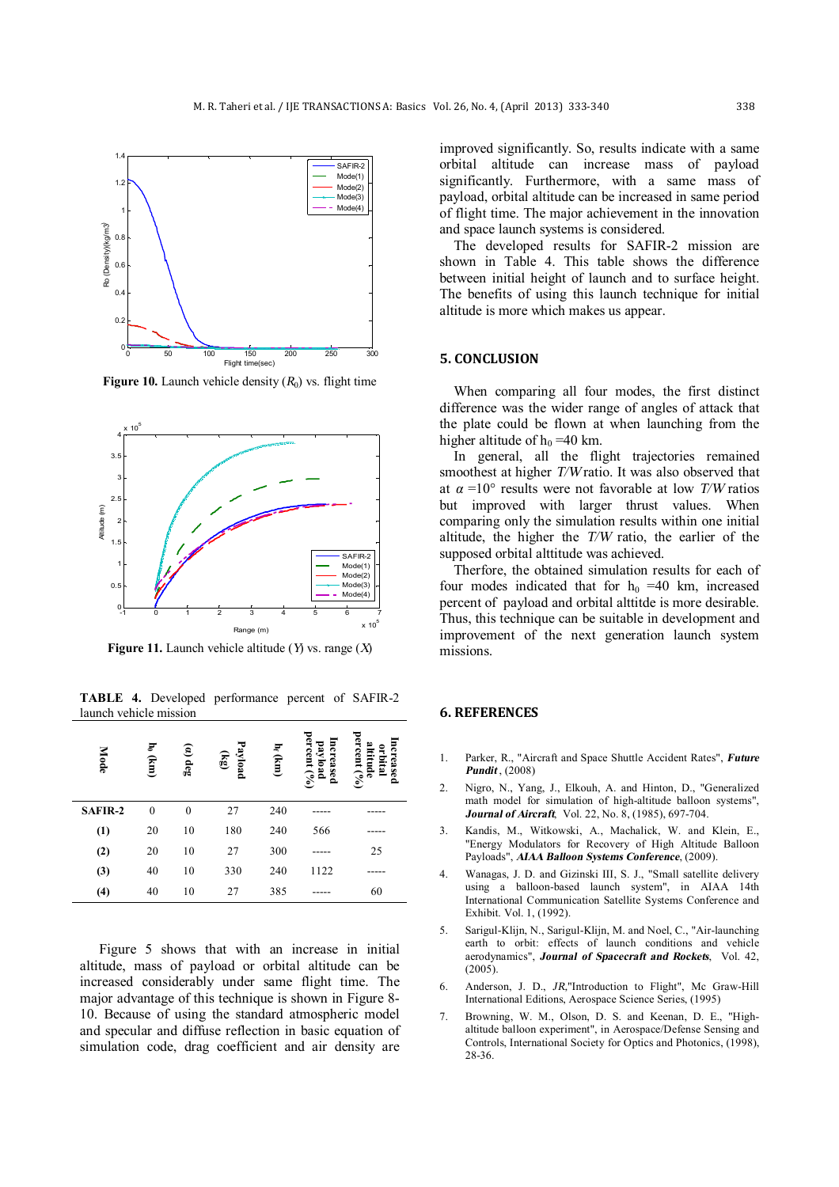

**Figure 10.** Launch vehicle density  $(R_0)$  vs. flight time



**Figure 11.** Launch vehicle altitude (*Y*) vs. range (*X*)

**TABLE 4.** Developed performance percent of SAFIR-2 launch vehicle mission

| <b>Mode</b>    | $h_0$ (km)   | $\left( a\right)$ deg | Payload<br>$\mathbf{g}$ | h <sub>f</sub> (km) | percent $(°6)$<br>ncreased<br>payload | altitude<br>percent $(%$<br>ncreased<br>orbital |
|----------------|--------------|-----------------------|-------------------------|---------------------|---------------------------------------|-------------------------------------------------|
| <b>SAFIR-2</b> | $\mathbf{0}$ | $\theta$              | 27                      | 240                 |                                       |                                                 |
| (1)            | 20           | 10                    | 180                     | 240                 | 566                                   |                                                 |
| (2)            | 20           | 10                    | 27                      | 300                 |                                       | 25                                              |
| (3)            | 40           | 10                    | 330                     | 240                 | 1122                                  |                                                 |
| (4)            | 40           | 10                    | 27                      | 385                 |                                       | 60                                              |

Figure 5 shows that with an increase in initial altitude, mass of payload or orbital altitude can be increased considerably under same flight time. The major advantage of this technique is shown in Figure 8- 10. Because of using the standard atmospheric model and specular and diffuse reflection in basic equation of simulation code, drag coefficient and air density are

improved significantly. So, results indicate with a same orbital altitude can increase mass of payload significantly. Furthermore, with a same mass of payload, orbital altitude can be increased in same period of flight time. The major achievement in the innovation and space launch systems is considered.

The developed results for SAFIR-2 mission are shown in Table 4. This table shows the difference between initial height of launch and to surface height. The benefits of using this launch technique for initial altitude is more which makes us appear.

#### **5. CONCLUSION**

When comparing all four modes, the first distinct difference was the wider range of angles of attack that the plate could be flown at when launching from the higher altitude of  $h_0 = 40$  km.

In general, all the flight trajectories remained smoothest at higher *T/W*ratio. It was also observed that at *<sup>α</sup>* =10° results were not favorable at low *T/W* ratios but improved with larger thrust values. When comparing only the simulation results within one initial altitude, the higher the *T/W* ratio, the earlier of the supposed orbital alttitude was achieved.

Therfore, the obtained simulation results for each of four modes indicated that for  $h_0$  =40 km, increased percent of payload and orbital alttitde is more desirable. Thus, this technique can be suitable in development and improvement of the next generation launch system missions.

### **6. REFERENCES**

- 1. Parker, R., "Aircraft and Space Shuttle Accident Rates", *Future Pundit* , (2008)
- 2. Nigro, N., Yang, J., Elkouh, A. and Hinton, D., "Generalized math model for simulation of high-altitude balloon systems", *Journal of Aircraft*, Vol. 22, No. 8, (1985), 697-704.
- 3. Kandis, M., Witkowski, A., Machalick, W. and Klein, E., "Energy Modulators for Recovery of High Altitude Balloon Payloads", *AIAA Balloon Systems Conference*, (2009).
- 4. Wanagas, J. D. and Gizinski III, S. J., "Small satellite delivery using a balloon-based launch system", in AIAA 14th International Communication Satellite Systems Conference and Exhibit. Vol. 1, (1992).
- 5. Sarigul-Klijn, N., Sarigul-Klijn, M. and Noel, C., "Air-launching earth to orbit: effects of launch conditions and vehicle aerodynamics", *Journal of Spacecraft and Rockets*, Vol. 42,  $(2005)$
- 6. Anderson, J. D., *JR,*"Introduction to Flight", Mc Graw-Hill International Editions, Aerospace Science Series, (1995)
- 7. Browning, W. M., Olson, D. S. and Keenan, D. E., "Highaltitude balloon experiment", in Aerospace/Defense Sensing and Controls, International Society for Optics and Photonics, (1998), 28-36.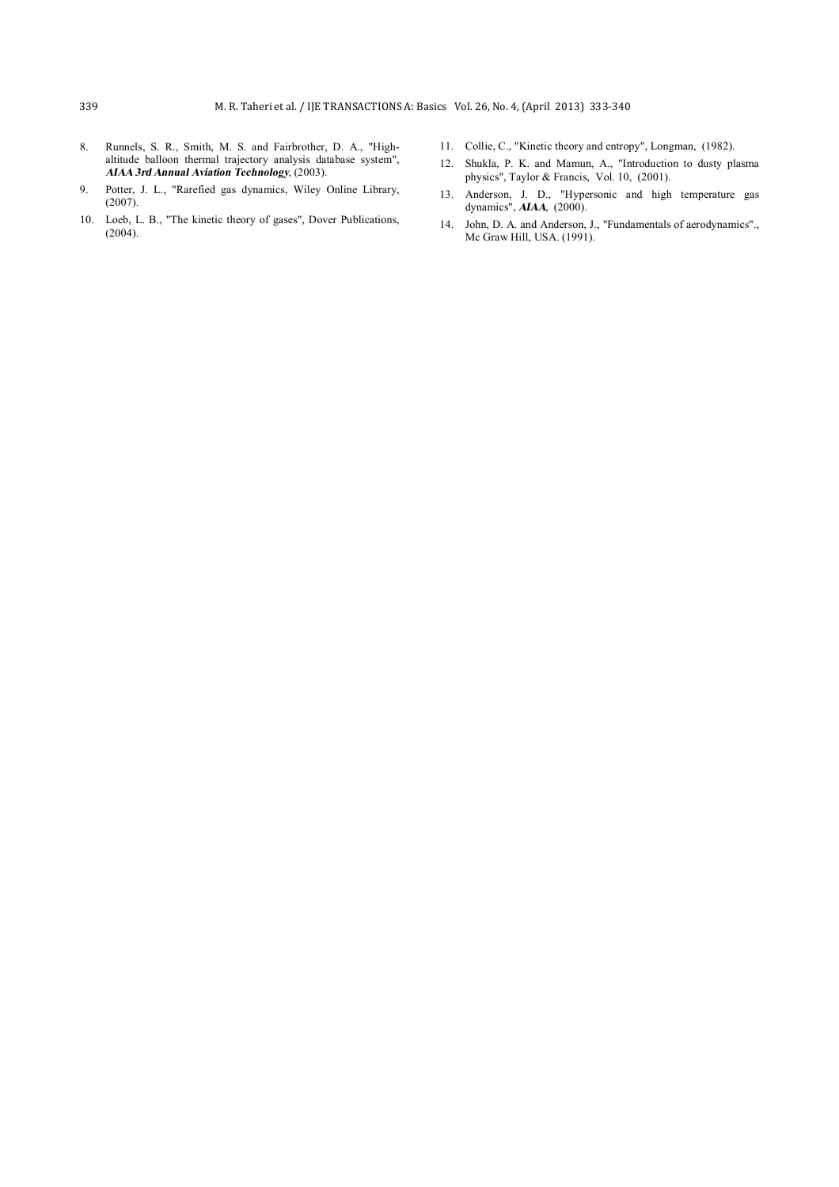- 8. Runnels, S. R., Smith, M. S. and Fairbrother, D. A., "Highaltitude balloon thermal trajectory analysis database system", *AIAA 3rd Annual Aviation Technology*, (2003).
- 9. Potter, J. L., "Rarefied gas dynamics, Wiley Online Library, (2007).
- 10. Loeb, L. B., "The kinetic theory of gases", Dover Publications, (2004).
- 11. Collie, C., "Kinetic theory and entropy", Longman, (1982).
- 12. Shukla, P. K. and Mamun, A., "Introduction to dusty plasma physics", Taylor & Francis, Vol. 10, (2001).
- 13. Anderson, J. D., "Hypersonic and high temperature gas dynamics", *AIAA*, (2000).
- 14. John, D. A. and Anderson, J., "Fundamentals of aerodynamics"., Mc Graw Hill, USA. (1991).